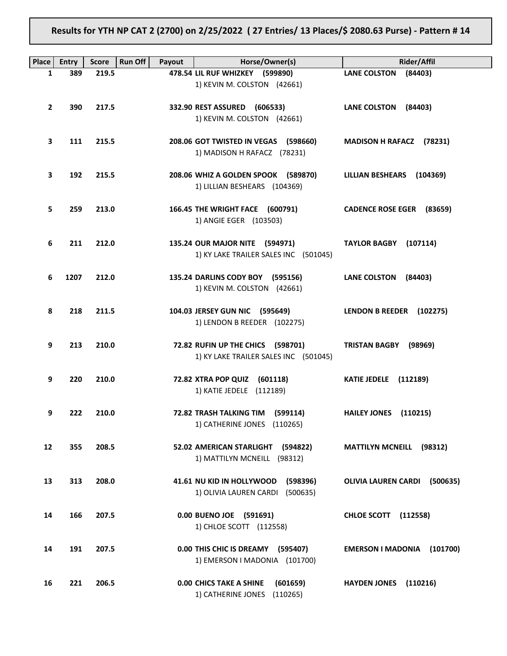Results for YTH NP CAT 2 (2700) on 2/25/2022 ( 27 Entries/ 13 Places/\$ 2080.63 Purse) - Pattern # 14

| <b>Place</b> | <b>Entry</b> | <b>Score</b> | Run Off<br>Payout | Horse/Owner(s)                                                              | <b>Rider/Affil</b>                   |
|--------------|--------------|--------------|-------------------|-----------------------------------------------------------------------------|--------------------------------------|
| $\mathbf{1}$ | 389          | 219.5        |                   | 478.54 LIL RUF WHIZKEY (599890)                                             | <b>LANE COLSTON</b><br>(84403)       |
|              |              |              |                   | 1) KEVIN M. COLSTON (42661)                                                 |                                      |
| $\mathbf{2}$ | 390          | 217.5        |                   | 332.90 REST ASSURED<br>(606533)<br>1) KEVIN M. COLSTON (42661)              | <b>LANE COLSTON</b><br>(84403)       |
| 3            | 111          | 215.5        |                   | 208.06 GOT TWISTED IN VEGAS (598660)<br>1) MADISON H RAFACZ (78231)         | <b>MADISON H RAFACZ</b><br>(78231)   |
| 3            | 192          | 215.5        |                   | 208.06 WHIZ A GOLDEN SPOOK (589870)<br>1) LILLIAN BESHEARS (104369)         | <b>LILLIAN BESHEARS</b><br>(104369)  |
| 5.           | 259          | 213.0        |                   | 166.45 THE WRIGHT FACE (600791)<br>1) ANGIE EGER (103503)                   | CADENCE ROSE EGER (83659)            |
| 6            | 211          | 212.0        |                   | 135.24 OUR MAJOR NITE (594971)<br>1) KY LAKE TRAILER SALES INC (501045)     | <b>TAYLOR BAGBY</b><br>(107114)      |
| 6            | 1207         | 212.0        |                   | 135.24 DARLINS CODY BOY (595156)<br>1) KEVIN M. COLSTON (42661)             | <b>LANE COLSTON</b><br>(84403)       |
| 8            | 218          | 211.5        |                   | 104.03 JERSEY GUN NIC (595649)<br>1) LENDON B REEDER (102275)               | <b>LENDON B REEDER</b><br>(102275)   |
| 9            | 213          | 210.0        |                   | 72.82 RUFIN UP THE CHICS (598701)<br>1) KY LAKE TRAILER SALES INC (501045)  | <b>TRISTAN BAGBY</b><br>(98969)      |
| 9            | 220          | 210.0        |                   | 72.82 XTRA POP QUIZ<br>(601118)<br>1) KATIE JEDELE (112189)                 | <b>KATIE JEDELE</b><br>(112189)      |
| 9            | 222          | 210.0        |                   | 72.82 TRASH TALKING TIM<br>(599114)<br>1) CATHERINE JONES (110265)          | HAILEY JONES (110215)                |
| 12           | 355          | 208.5        |                   | 52.02 AMERICAN STARLIGHT (594822)<br>1) MATTILYN MCNEILL (98312)            | <b>MATTILYN MCNEILL (98312)</b>      |
| 13           | 313          | 208.0        |                   | 41.61 NU KID IN HOLLYWOOD<br>(598396)<br>1) OLIVIA LAUREN CARDI<br>(500635) | OLIVIA LAUREN CARDI (500635)         |
| 14           | 166          | 207.5        |                   | 0.00 BUENO JOE (591691)<br>1) CHLOE SCOTT (112558)                          | <b>CHLOE SCOTT</b><br>(112558)       |
| 14           | 191          | 207.5        |                   | 0.00 THIS CHIC IS DREAMY<br>(595407)<br>1) EMERSON I MADONIA (101700)       | <b>EMERSON I MADONIA</b><br>(101700) |
| 16           | 221          | 206.5        |                   | <b>0.00 CHICS TAKE A SHINE</b><br>(601659)<br>1) CATHERINE JONES (110265)   | <b>HAYDEN JONES</b><br>(110216)      |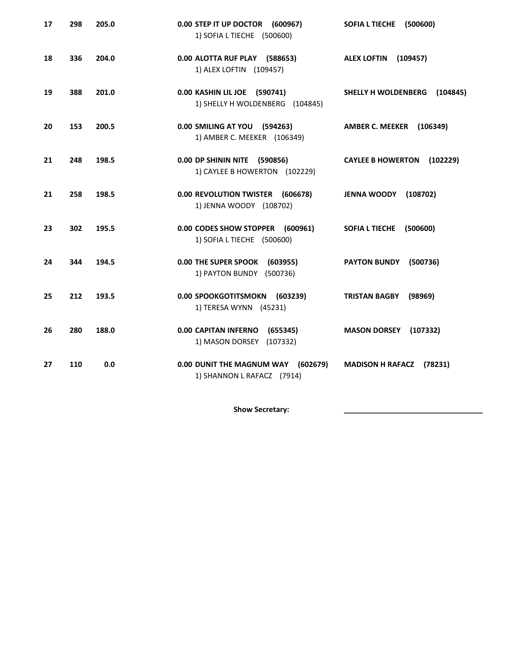| 17 | 298 | 205.0 | 0.00 STEP IT UP DOCTOR (600967)<br>1) SOFIA L TIECHE (500600)       | <b>SOFIA L TIECHE</b><br>(500600)    |
|----|-----|-------|---------------------------------------------------------------------|--------------------------------------|
| 18 | 336 | 204.0 | 0.00 ALOTTA RUF PLAY (588653)<br>1) ALEX LOFTIN (109457)            | <b>ALEX LOFTIN</b><br>(109457)       |
| 19 | 388 | 201.0 | 0.00 KASHIN LIL JOE (590741)<br>1) SHELLY H WOLDENBERG (104845)     | SHELLY H WOLDENBERG<br>(104845)      |
| 20 | 153 | 200.5 | 0.00 SMILING AT YOU (594263)<br>1) AMBER C. MEEKER (106349)         | <b>AMBER C. MEEKER</b><br>(106349)   |
| 21 | 248 | 198.5 | 0.00 DP SHININ NITE (590856)<br>1) CAYLEE B HOWERTON (102229)       | <b>CAYLEE B HOWERTON</b><br>(102229) |
| 21 | 258 | 198.5 | 0.00 REVOLUTION TWISTER<br>(606678)<br>1) JENNA WOODY (108702)      | <b>JENNA WOODY</b><br>(108702)       |
| 23 | 302 | 195.5 | 0.00 CODES SHOW STOPPER (600961)<br>1) SOFIA L TIECHE (500600)      | <b>SOFIA L TIECHE</b><br>(500600)    |
| 24 | 344 | 194.5 | 0.00 THE SUPER SPOOK (603955)<br>1) PAYTON BUNDY (500736)           | <b>PAYTON BUNDY</b><br>(500736)      |
| 25 | 212 | 193.5 | 0.00 SPOOKGOTITSMOKN (603239)<br>1) TERESA WYNN (45231)             | <b>TRISTAN BAGBY</b><br>(98969)      |
| 26 | 280 | 188.0 | <b>0.00 CAPITAN INFERNO</b><br>(655345)<br>1) MASON DORSEY (107332) | <b>MASON DORSEY</b><br>(107332)      |
| 27 | 110 | 0.0   | 0.00 DUNIT THE MAGNUM WAY (602679)<br>1) SHANNON L RAFACZ (7914)    | <b>MADISON H RAFACZ</b><br>(78231)   |

Show Secretary: